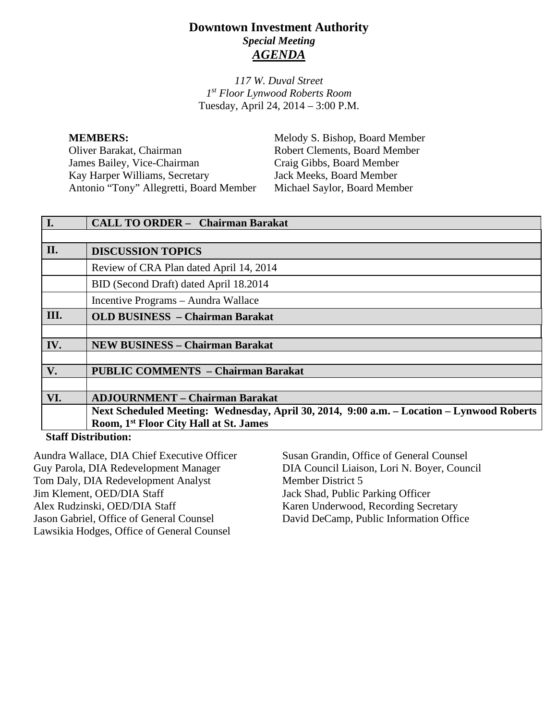## **Downtown Investment Authority** *Special Meeting AGENDA*

*117 W. Duval Street 1st Floor Lynwood Roberts Room* Tuesday, April 24, 2014 – 3:00 P.M.

**MEMBERS:** Melody S. Bishop, Board Member Oliver Barakat, Chairman Robert Clements, Board Member<br>
James Bailey. Vice-Chairman Craig Gibbs. Board Member James Bailey, Vice-Chairman Kay Harper Williams, Secretary Jack Meeks, Board Member Antonio "Tony" Allegretti, Board Member Michael Saylor, Board Member

|                            | <b>CALL TO ORDER - Chairman Barakat</b>                                                   |
|----------------------------|-------------------------------------------------------------------------------------------|
|                            |                                                                                           |
| II.                        | <b>DISCUSSION TOPICS</b>                                                                  |
|                            | Review of CRA Plan dated April 14, 2014                                                   |
|                            | BID (Second Draft) dated April 18.2014                                                    |
|                            | Incentive Programs - Aundra Wallace                                                       |
| III.                       | <b>OLD BUSINESS - Chairman Barakat</b>                                                    |
|                            |                                                                                           |
| IV.                        | <b>NEW BUSINESS - Chairman Barakat</b>                                                    |
|                            |                                                                                           |
| V.                         | <b>PUBLIC COMMENTS - Chairman Barakat</b>                                                 |
|                            |                                                                                           |
| VI.                        | <b>ADJOURNMENT – Chairman Barakat</b>                                                     |
|                            | Next Scheduled Meeting: Wednesday, April 30, 2014, 9:00 a.m. - Location - Lynwood Roberts |
|                            | Room, 1 <sup>st</sup> Floor City Hall at St. James                                        |
| <b>Staff Distribution:</b> |                                                                                           |

Aundra Wallace, DIA Chief Executive Officer Guy Parola, DIA Redevelopment Manager Tom Daly, DIA Redevelopment Analyst Jim Klement, OED/DIA Staff Alex Rudzinski, OED/DIA Staff Jason Gabriel, Office of General Counsel Lawsikia Hodges, Office of General Counsel

Susan Grandin, Office of General Counsel DIA Council Liaison, Lori N. Boyer, Council Member District 5 Jack Shad, Public Parking Officer Karen Underwood, Recording Secretary David DeCamp, Public Information Office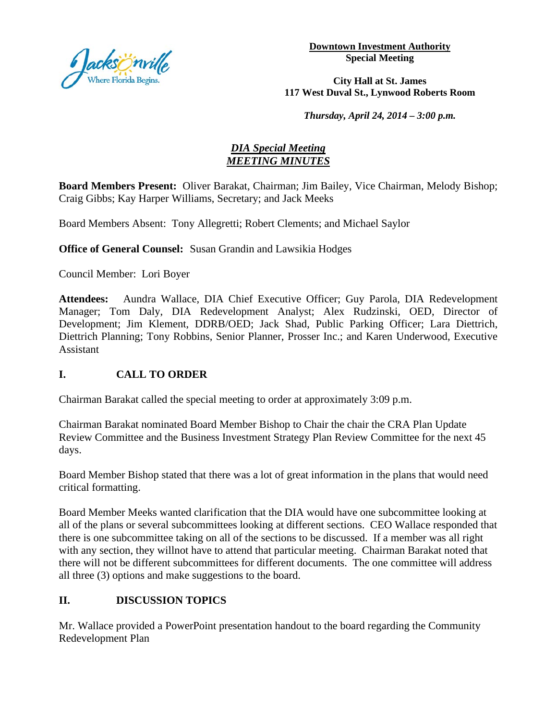

**Downtown Investment Authority Special Meeting** 

#### **City Hall at St. James 117 West Duval St., Lynwood Roberts Room**

*Thursday, April 24, 2014 – 3:00 p.m.*

### *DIA Special Meeting MEETING MINUTES*

**Board Members Present:** Oliver Barakat, Chairman; Jim Bailey, Vice Chairman, Melody Bishop; Craig Gibbs; Kay Harper Williams, Secretary; and Jack Meeks

Board Members Absent: Tony Allegretti; Robert Clements; and Michael Saylor

**Office of General Counsel:** Susan Grandin and Lawsikia Hodges

Council Member: Lori Boyer

**Attendees:** Aundra Wallace, DIA Chief Executive Officer; Guy Parola, DIA Redevelopment Manager; Tom Daly, DIA Redevelopment Analyst; Alex Rudzinski, OED, Director of Development; Jim Klement, DDRB/OED; Jack Shad, Public Parking Officer; Lara Diettrich, Diettrich Planning; Tony Robbins, Senior Planner, Prosser Inc.; and Karen Underwood, Executive Assistant

# **I. CALL TO ORDER**

Chairman Barakat called the special meeting to order at approximately 3:09 p.m.

Chairman Barakat nominated Board Member Bishop to Chair the chair the CRA Plan Update Review Committee and the Business Investment Strategy Plan Review Committee for the next 45 days.

Board Member Bishop stated that there was a lot of great information in the plans that would need critical formatting.

Board Member Meeks wanted clarification that the DIA would have one subcommittee looking at all of the plans or several subcommittees looking at different sections. CEO Wallace responded that there is one subcommittee taking on all of the sections to be discussed. If a member was all right with any section, they willnot have to attend that particular meeting. Chairman Barakat noted that there will not be different subcommittees for different documents. The one committee will address all three (3) options and make suggestions to the board.

# **II. DISCUSSION TOPICS**

Mr. Wallace provided a PowerPoint presentation handout to the board regarding the Community Redevelopment Plan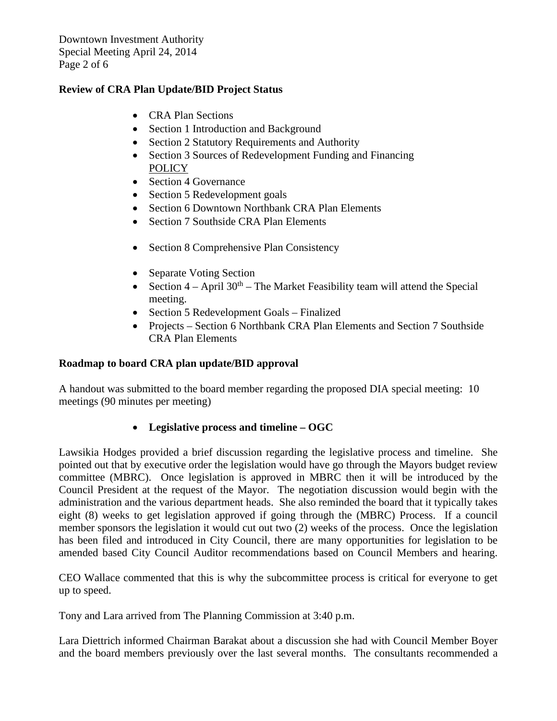Downtown Investment Authority Special Meeting April 24, 2014 Page 2 of 6

### **Review of CRA Plan Update/BID Project Status**

- CRA Plan Sections
- Section 1 Introduction and Background
- Section 2 Statutory Requirements and Authority
- Section 3 Sources of Redevelopment Funding and Financing **POLICY**
- Section 4 Governance
- Section 5 Redevelopment goals
- Section 6 Downtown Northbank CRA Plan Elements
- Section 7 Southside CRA Plan Elements
- Section 8 Comprehensive Plan Consistency
- Separate Voting Section
- Section  $4 -$  April  $30<sup>th</sup> -$  The Market Feasibility team will attend the Special meeting.
- Section 5 Redevelopment Goals Finalized
- Projects Section 6 Northbank CRA Plan Elements and Section 7 Southside CRA Plan Elements

#### **Roadmap to board CRA plan update/BID approval**

A handout was submitted to the board member regarding the proposed DIA special meeting: 10 meetings (90 minutes per meeting)

### • **Legislative process and timeline – OGC**

Lawsikia Hodges provided a brief discussion regarding the legislative process and timeline. She pointed out that by executive order the legislation would have go through the Mayors budget review committee (MBRC). Once legislation is approved in MBRC then it will be introduced by the Council President at the request of the Mayor. The negotiation discussion would begin with the administration and the various department heads. She also reminded the board that it typically takes eight (8) weeks to get legislation approved if going through the (MBRC) Process. If a council member sponsors the legislation it would cut out two (2) weeks of the process. Once the legislation has been filed and introduced in City Council, there are many opportunities for legislation to be amended based City Council Auditor recommendations based on Council Members and hearing.

CEO Wallace commented that this is why the subcommittee process is critical for everyone to get up to speed.

Tony and Lara arrived from The Planning Commission at 3:40 p.m.

Lara Diettrich informed Chairman Barakat about a discussion she had with Council Member Boyer and the board members previously over the last several months. The consultants recommended a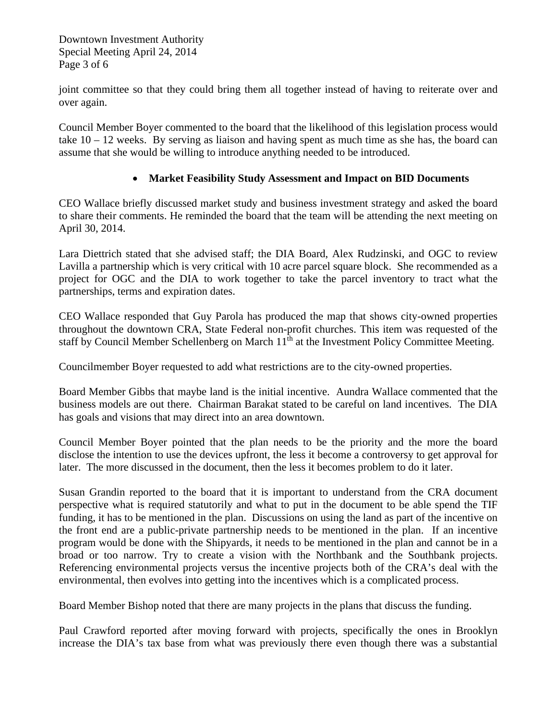Downtown Investment Authority Special Meeting April 24, 2014 Page 3 of 6

joint committee so that they could bring them all together instead of having to reiterate over and over again.

Council Member Boyer commented to the board that the likelihood of this legislation process would take  $10 - 12$  weeks. By serving as liaison and having spent as much time as she has, the board can assume that she would be willing to introduce anything needed to be introduced.

### • **Market Feasibility Study Assessment and Impact on BID Documents**

CEO Wallace briefly discussed market study and business investment strategy and asked the board to share their comments. He reminded the board that the team will be attending the next meeting on April 30, 2014.

Lara Diettrich stated that she advised staff; the DIA Board, Alex Rudzinski, and OGC to review Lavilla a partnership which is very critical with 10 acre parcel square block. She recommended as a project for OGC and the DIA to work together to take the parcel inventory to tract what the partnerships, terms and expiration dates.

CEO Wallace responded that Guy Parola has produced the map that shows city-owned properties throughout the downtown CRA, State Federal non-profit churches. This item was requested of the staff by Council Member Schellenberg on March 11<sup>th</sup> at the Investment Policy Committee Meeting.

Councilmember Boyer requested to add what restrictions are to the city-owned properties.

Board Member Gibbs that maybe land is the initial incentive. Aundra Wallace commented that the business models are out there. Chairman Barakat stated to be careful on land incentives. The DIA has goals and visions that may direct into an area downtown.

Council Member Boyer pointed that the plan needs to be the priority and the more the board disclose the intention to use the devices upfront, the less it become a controversy to get approval for later. The more discussed in the document, then the less it becomes problem to do it later.

Susan Grandin reported to the board that it is important to understand from the CRA document perspective what is required statutorily and what to put in the document to be able spend the TIF funding, it has to be mentioned in the plan. Discussions on using the land as part of the incentive on the front end are a public-private partnership needs to be mentioned in the plan. If an incentive program would be done with the Shipyards, it needs to be mentioned in the plan and cannot be in a broad or too narrow. Try to create a vision with the Northbank and the Southbank projects. Referencing environmental projects versus the incentive projects both of the CRA's deal with the environmental, then evolves into getting into the incentives which is a complicated process.

Board Member Bishop noted that there are many projects in the plans that discuss the funding.

Paul Crawford reported after moving forward with projects, specifically the ones in Brooklyn increase the DIA's tax base from what was previously there even though there was a substantial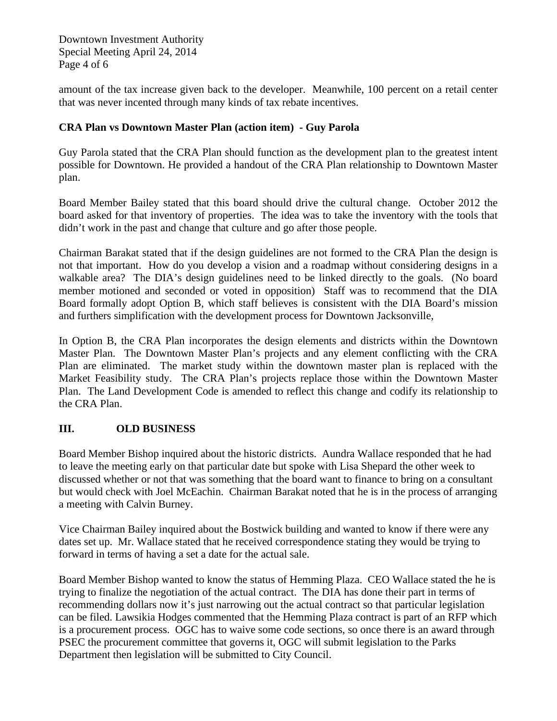Downtown Investment Authority Special Meeting April 24, 2014 Page 4 of 6

amount of the tax increase given back to the developer. Meanwhile, 100 percent on a retail center that was never incented through many kinds of tax rebate incentives.

## **CRA Plan vs Downtown Master Plan (action item) - Guy Parola**

Guy Parola stated that the CRA Plan should function as the development plan to the greatest intent possible for Downtown. He provided a handout of the CRA Plan relationship to Downtown Master plan.

Board Member Bailey stated that this board should drive the cultural change. October 2012 the board asked for that inventory of properties. The idea was to take the inventory with the tools that didn't work in the past and change that culture and go after those people.

Chairman Barakat stated that if the design guidelines are not formed to the CRA Plan the design is not that important. How do you develop a vision and a roadmap without considering designs in a walkable area? The DIA's design guidelines need to be linked directly to the goals. (No board member motioned and seconded or voted in opposition) Staff was to recommend that the DIA Board formally adopt Option B, which staff believes is consistent with the DIA Board's mission and furthers simplification with the development process for Downtown Jacksonville,

In Option B, the CRA Plan incorporates the design elements and districts within the Downtown Master Plan. The Downtown Master Plan's projects and any element conflicting with the CRA Plan are eliminated. The market study within the downtown master plan is replaced with the Market Feasibility study. The CRA Plan's projects replace those within the Downtown Master Plan. The Land Development Code is amended to reflect this change and codify its relationship to the CRA Plan.

### **III. OLD BUSINESS**

Board Member Bishop inquired about the historic districts. Aundra Wallace responded that he had to leave the meeting early on that particular date but spoke with Lisa Shepard the other week to discussed whether or not that was something that the board want to finance to bring on a consultant but would check with Joel McEachin. Chairman Barakat noted that he is in the process of arranging a meeting with Calvin Burney.

Vice Chairman Bailey inquired about the Bostwick building and wanted to know if there were any dates set up. Mr. Wallace stated that he received correspondence stating they would be trying to forward in terms of having a set a date for the actual sale.

Board Member Bishop wanted to know the status of Hemming Plaza. CEO Wallace stated the he is trying to finalize the negotiation of the actual contract. The DIA has done their part in terms of recommending dollars now it's just narrowing out the actual contract so that particular legislation can be filed. Lawsikia Hodges commented that the Hemming Plaza contract is part of an RFP which is a procurement process. OGC has to waive some code sections, so once there is an award through PSEC the procurement committee that governs it, OGC will submit legislation to the Parks Department then legislation will be submitted to City Council.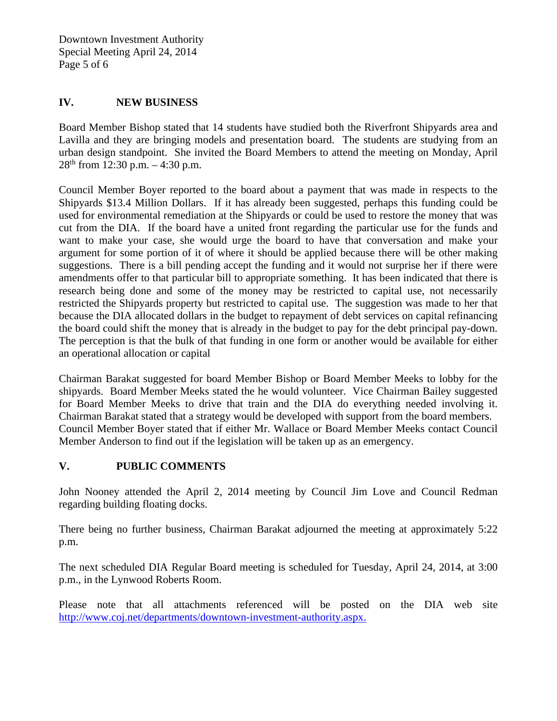Downtown Investment Authority Special Meeting April 24, 2014 Page 5 of 6

#### **IV. NEW BUSINESS**

Board Member Bishop stated that 14 students have studied both the Riverfront Shipyards area and Lavilla and they are bringing models and presentation board. The students are studying from an urban design standpoint. She invited the Board Members to attend the meeting on Monday, April  $28<sup>th</sup>$  from 12:30 p.m.  $-4:30$  p.m.

Council Member Boyer reported to the board about a payment that was made in respects to the Shipyards \$13.4 Million Dollars. If it has already been suggested, perhaps this funding could be used for environmental remediation at the Shipyards or could be used to restore the money that was cut from the DIA. If the board have a united front regarding the particular use for the funds and want to make your case, she would urge the board to have that conversation and make your argument for some portion of it of where it should be applied because there will be other making suggestions. There is a bill pending accept the funding and it would not surprise her if there were amendments offer to that particular bill to appropriate something. It has been indicated that there is research being done and some of the money may be restricted to capital use, not necessarily restricted the Shipyards property but restricted to capital use. The suggestion was made to her that because the DIA allocated dollars in the budget to repayment of debt services on capital refinancing the board could shift the money that is already in the budget to pay for the debt principal pay-down. The perception is that the bulk of that funding in one form or another would be available for either an operational allocation or capital

Chairman Barakat suggested for board Member Bishop or Board Member Meeks to lobby for the shipyards. Board Member Meeks stated the he would volunteer. Vice Chairman Bailey suggested for Board Member Meeks to drive that train and the DIA do everything needed involving it. Chairman Barakat stated that a strategy would be developed with support from the board members. Council Member Boyer stated that if either Mr. Wallace or Board Member Meeks contact Council Member Anderson to find out if the legislation will be taken up as an emergency.

## **V. PUBLIC COMMENTS**

John Nooney attended the April 2, 2014 meeting by Council Jim Love and Council Redman regarding building floating docks.

There being no further business, Chairman Barakat adjourned the meeting at approximately 5:22 p.m.

The next scheduled DIA Regular Board meeting is scheduled for Tuesday, April 24, 2014, at 3:00 p.m., in the Lynwood Roberts Room.

Please note that all attachments referenced will be posted on the DIA web site [http://www.coj.net/departments/downtown-investment-authority.aspx.](http://www.coj.net/departments/downtown-investment-authority.aspx)